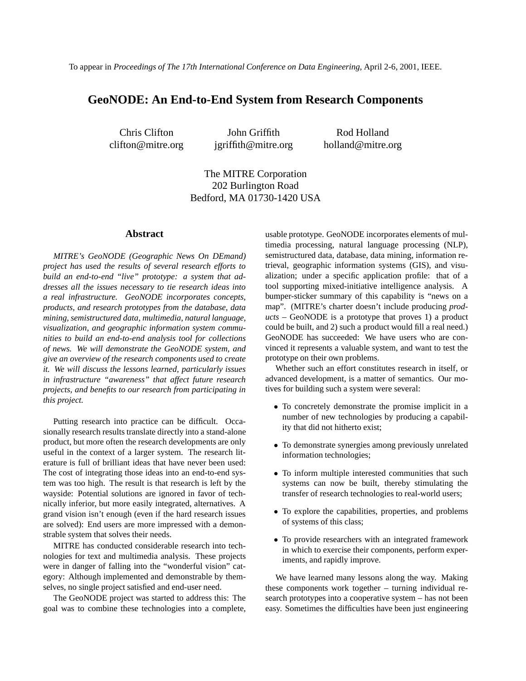# **GeoNODE: An End-to-End System from Research Components**

Chris Clifton clifton@mitre.org

John Griffith jgriffith@mitre.org

Rod Holland holland@mitre.org

The MITRE Corporation 202 Burlington Road Bedford, MA 01730-1420 USA

#### **Abstract**

*MITRE's GeoNODE (Geographic News On DEmand) project has used the results of several research efforts to build an end-to-end "live" prototype: a system that addresses all the issues necessary to tie research ideas into a real infrastructure. GeoNODE incorporates concepts, products, and research prototypes from the database, data mining, semistructured data, multimedia, natural language, visualization, and geographic information system communities to build an end-to-end analysis tool for collections of news. We will demonstrate the GeoNODE system, and give an overview of the research components used to create it. We will discuss the lessons learned, particularly issues in infrastructure "awareness" that affect future research projects, and benefits to our research from participating in this project.*

Putting research into practice can be difficult. Occasionally research results translate directly into a stand-alone product, but more often the research developments are only useful in the context of a larger system. The research literature is full of brilliant ideas that have never been used: The cost of integrating those ideas into an end-to-end system was too high. The result is that research is left by the wayside: Potential solutions are ignored in favor of technically inferior, but more easily integrated, alternatives. A grand vision isn't enough (even if the hard research issues are solved): End users are more impressed with a demonstrable system that solves their needs.

MITRE has conducted considerable research into technologies for text and multimedia analysis. These projects were in danger of falling into the "wonderful vision" category: Although implemented and demonstrable by themselves, no single project satisfied and end-user need.

The GeoNODE project was started to address this: The goal was to combine these technologies into a complete,

usable prototype. GeoNODE incorporates elements of multimedia processing, natural language processing (NLP), semistructured data, database, data mining, information retrieval, geographic information systems (GIS), and visualization; under a specific application profile: that of a tool supporting mixed-initiative intelligence analysis. A bumper-sticker summary of this capability is "news on a map". (MITRE's charter doesn't include producing *products* – GeoNODE is a prototype that proves 1) a product could be built, and 2) such a product would fill a real need.) GeoNODE has succeeded: We have users who are convinced it represents a valuable system, and want to test the prototype on their own problems.

Whether such an effort constitutes research in itself, or advanced development, is a matter of semantics. Our motives for building such a system were several:

- To concretely demonstrate the promise implicit in a number of new technologies by producing a capability that did not hitherto exist;
- To demonstrate synergies among previously unrelated information technologies;
- To inform multiple interested communities that such systems can now be built, thereby stimulating the transfer of research technologies to real-world users;
- To explore the capabilities, properties, and problems of systems of this class;
- To provide researchers with an integrated framework in which to exercise their components, perform experiments, and rapidly improve.

We have learned many lessons along the way. Making these components work together – turning individual research prototypes into a cooperative system – has not been easy. Sometimes the difficulties have been just engineering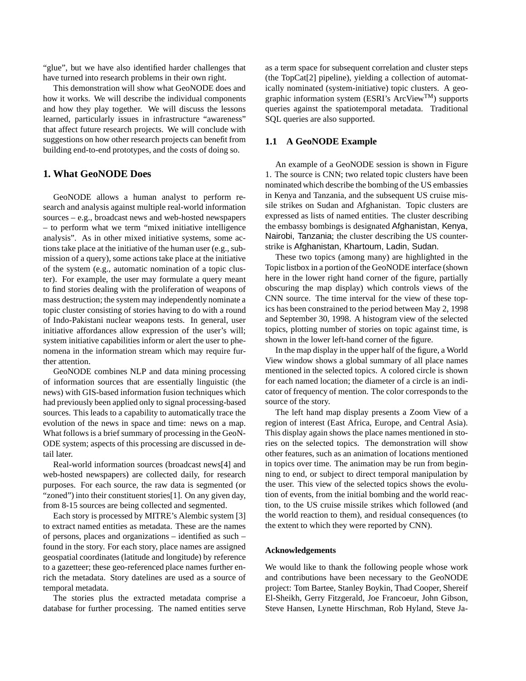"glue", but we have also identified harder challenges that have turned into research problems in their own right.

This demonstration will show what GeoNODE does and how it works. We will describe the individual components and how they play together. We will discuss the lessons learned, particularly issues in infrastructure "awareness" that affect future research projects. We will conclude with suggestions on how other research projects can benefit from building end-to-end prototypes, and the costs of doing so.

## **1. What GeoNODE Does**

GeoNODE allows a human analyst to perform research and analysis against multiple real-world information sources – e.g., broadcast news and web-hosted newspapers – to perform what we term "mixed initiative intelligence analysis". As in other mixed initiative systems, some actions take place at the initiative of the human user (e.g., submission of a query), some actions take place at the initiative of the system (e.g., automatic nomination of a topic cluster). For example, the user may formulate a query meant to find stories dealing with the proliferation of weapons of mass destruction; the system may independently nominate a topic cluster consisting of stories having to do with a round of Indo-Pakistani nuclear weapons tests. In general, user initiative affordances allow expression of the user's will; system initiative capabilities inform or alert the user to phenomena in the information stream which may require further attention.

GeoNODE combines NLP and data mining processing of information sources that are essentially linguistic (the news) with GIS-based information fusion techniques which had previously been applied only to signal processing-based sources. This leads to a capability to automatically trace the evolution of the news in space and time: news on a map. What follows is a brief summary of processing in the GeoN-ODE system; aspects of this processing are discussed in detail later.

Real-world information sources (broadcast news[4] and web-hosted newspapers) are collected daily, for research purposes. For each source, the raw data is segmented (or "zoned") into their constituent stories[1]. On any given day, from 8-15 sources are being collected and segmented.

Each story is processed by MITRE's Alembic system [3] to extract named entities as metadata. These are the names of persons, places and organizations – identified as such – found in the story. For each story, place names are assigned geospatial coordinates (latitude and longitude) by reference to a gazetteer; these geo-referenced place names further enrich the metadata. Story datelines are used as a source of temporal metadata.

The stories plus the extracted metadata comprise a database for further processing. The named entities serve

as a term space for subsequent correlation and cluster steps (the TopCat[2] pipeline), yielding a collection of automatically nominated (system-initiative) topic clusters. A geographic information system (ESRI's ArcView<sup>TM</sup>) supports queries against the spatiotemporal metadata. Traditional SQL queries are also supported.

### **1.1 A GeoNODE Example**

An example of a GeoNODE session is shown in Figure 1. The source is CNN; two related topic clusters have been nominated which describe the bombing of the US embassies in Kenya and Tanzania, and the subsequent US cruise missile strikes on Sudan and Afghanistan. Topic clusters are expressed as lists of named entities. The cluster describing the embassy bombings is designated Afghanistan, Kenya, Nairobi, Tanzania; the cluster describing the US counterstrike is Afghanistan, Khartoum, Ladin, Sudan.

These two topics (among many) are highlighted in the Topic listbox in a portion of the GeoNODE interface (shown here in the lower right hand corner of the figure, partially obscuring the map display) which controls views of the CNN source. The time interval for the view of these topics has been constrained to the period between May 2, 1998 and September 30, 1998. A histogram view of the selected topics, plotting number of stories on topic against time, is shown in the lower left-hand corner of the figure.

In the map display in the upper half of the figure, a World View window shows a global summary of all place names mentioned in the selected topics. A colored circle is shown for each named location; the diameter of a circle is an indicator of frequency of mention. The color corresponds to the source of the story.

The left hand map display presents a Zoom View of a region of interest (East Africa, Europe, and Central Asia). This display again shows the place names mentioned in stories on the selected topics. The demonstration will show other features, such as an animation of locations mentioned in topics over time. The animation may be run from beginning to end, or subject to direct temporal manipulation by the user. This view of the selected topics shows the evolution of events, from the initial bombing and the world reaction, to the US cruise missile strikes which followed (and the world reaction to them), and residual consequences (to the extent to which they were reported by CNN).

#### **Acknowledgements**

We would like to thank the following people whose work and contributions have been necessary to the GeoNODE project: Tom Bartee, Stanley Boykin, Thad Cooper, Shereif El-Sheikh, Gerry Fitzgerald, Joe Francoeur, John Gibson, Steve Hansen, Lynette Hirschman, Rob Hyland, Steve Ja-